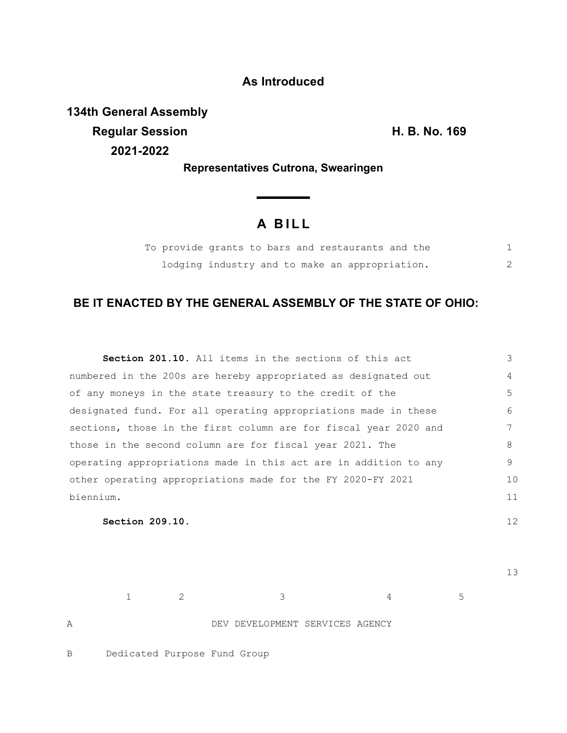### **As Introduced**

**134th General Assembly Regular Session H. B. No. 169 2021-2022**

**Representatives Cutrona, Swearingen**

<u> Thomas San</u>

# **A B I L L**

|  | To provide grants to bars and restaurants and the |  |  |  |
|--|---------------------------------------------------|--|--|--|
|  | lodging industry and to make an appropriation.    |  |  |  |

## **BE IT ENACTED BY THE GENERAL ASSEMBLY OF THE STATE OF OHIO:**

| <b>Section 201.10.</b> All items in the sections of this act     | 3              |
|------------------------------------------------------------------|----------------|
| numbered in the 200s are hereby appropriated as designated out   | $\overline{4}$ |
| of any moneys in the state treasury to the credit of the         | 5              |
| designated fund. For all operating appropriations made in these  | 6              |
| sections, those in the first column are for fiscal year 2020 and | 7              |
| those in the second column are for fiscal year 2021. The         | 8              |
| operating appropriations made in this act are in addition to any | 9              |
| other operating appropriations made for the FY 2020-FY 2021      | 10             |
| biennium.                                                        | 11             |
|                                                                  |                |

**Section 209.10.** 

13

12

 $1$  2 3 4 5 A DEV DEVELOPMENT SERVICES AGENCY

B Dedicated Purpose Fund Group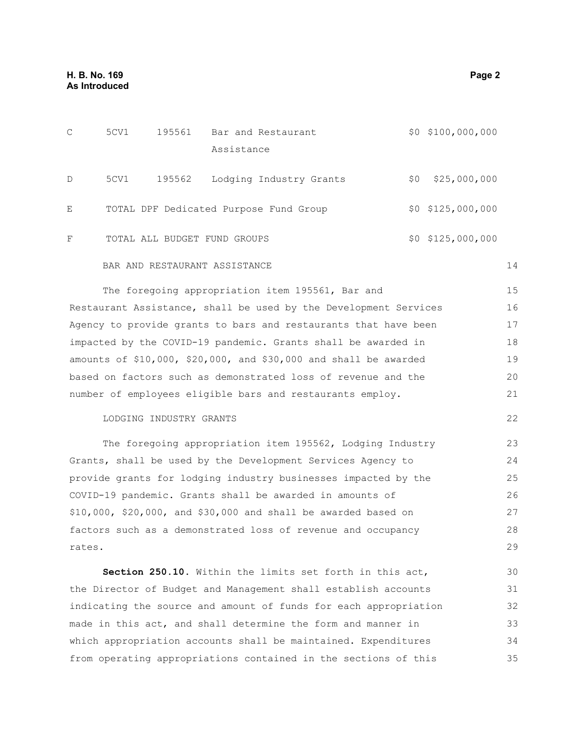| $\mathcal{C}$ | 5CV1 | 195561 | Bar and Restaurant                     |     | $$0$ $$100,000,000$ |
|---------------|------|--------|----------------------------------------|-----|---------------------|
|               |      |        | Assistance                             |     |                     |
| D             | 5CV1 | 195562 | Lodging Industry Grants                | \$0 | \$25,000,000        |
| Ε             |      |        | TOTAL DPF Dedicated Purpose Fund Group |     | $$0$ $$125,000,000$ |
| F             |      |        | TOTAL ALL BUDGET FUND GROUPS           |     | $$0$ $$125,000,000$ |

#### BAR AND RESTAURANT ASSISTANCE

The foregoing appropriation item 195561, Bar and Restaurant Assistance, shall be used by the Development Services Agency to provide grants to bars and restaurants that have been impacted by the COVID-19 pandemic. Grants shall be awarded in amounts of \$10,000, \$20,000, and \$30,000 and shall be awarded based on factors such as demonstrated loss of revenue and the number of employees eligible bars and restaurants employ. 15 16 17 18 19 20 21

#### LODGING INDUSTRY GRANTS

The foregoing appropriation item 195562, Lodging Industry Grants, shall be used by the Development Services Agency to provide grants for lodging industry businesses impacted by the COVID-19 pandemic. Grants shall be awarded in amounts of \$10,000, \$20,000, and \$30,000 and shall be awarded based on factors such as a demonstrated loss of revenue and occupancy rates. 23 24 25 26 27 28 29

**Section 250.10.** Within the limits set forth in this act, the Director of Budget and Management shall establish accounts indicating the source and amount of funds for each appropriation made in this act, and shall determine the form and manner in which appropriation accounts shall be maintained. Expenditures from operating appropriations contained in the sections of this 30 31 32 33 34 35

14

22